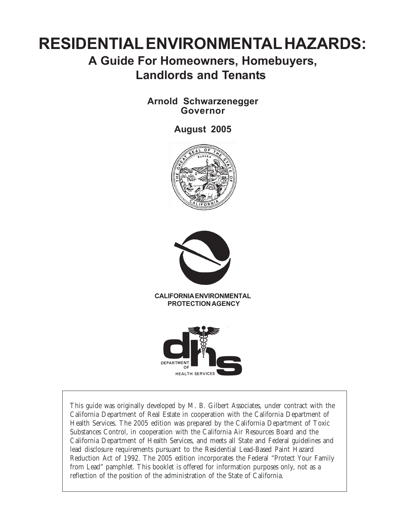# **RESIDENTIAL ENVIRONMENTAL HAZARDS:**

# **A Guide For Homeowners, Homebuyers, Landlords and Tenants**

## **Arnold Schwarzenegger Governor**

## **August 2005**





**CALIFORNIA ENVIRONMENTAL PROTECTION AGENCY**



This guide was originally developed by M. B. Gilbert Associates, under contract with the California Department of Real Estate in cooperation with the California Department of Health Services. The 2005 edition was prepared by the California Department of Toxic Substances Control, in cooperation with the California Air Resources Board and the California Department of Health Services, and meets all State and Federal guidelines and lead disclosure requirements pursuant to the Residential Lead-Based Paint Hazard Reduction Act of 1992. The 2005 edition incorporates the Federal "Protect Your Family from Lead" pamphlet. This booklet is offered for information purposes only, not as a reflection of the position of the administration of the State of California.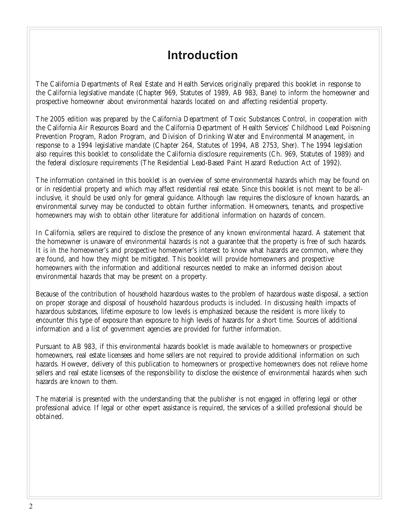# **Introduction**

The California Departments of Real Estate and Health Services originally prepared this booklet in response to the California legislative mandate (Chapter 969, Statutes of 1989, AB 983, Bane) to inform the homeowner and prospective homeowner about environmental hazards located on and affecting residential property.

The 2005 edition was prepared by the California Department of Toxic Substances Control, in cooperation with the California Air Resources Board and the California Department of Health Services' Childhood Lead Poisoning Prevention Program, Radon Program, and Division of Drinking Water and Environmental Management, in response to a 1994 legislative mandate (Chapter 264, Statutes of 1994, AB 2753, Sher). The 1994 legislation also requires this booklet to consolidate the California disclosure requirements (Ch. 969, Statutes of 1989) and the federal disclosure requirements (The Residential Lead-Based Paint Hazard Reduction Act of 1992).

The information contained in this booklet is an overview of some environmental hazards which may be found on or in residential property and which may affect residential real estate. Since this booklet is not meant to be allinclusive, it should be used only for general guidance. Although law requires the disclosure of known hazards, an environmental survey may be conducted to obtain further information. Homeowners, tenants, and prospective homeowners may wish to obtain other literature for additional information on hazards of concern.

In California, sellers are required to disclose the presence of any known environmental hazard. A statement that the homeowner is unaware of environmental hazards is not a guarantee that the property is free of such hazards. It is in the homeowner's and prospective homeowner's interest to know what hazards are common, where they are found, and how they might be mitigated. This booklet will provide homeowners and prospective homeowners with the information and additional resources needed to make an informed decision about environmental hazards that may be present on a property.

Because of the contribution of household hazardous wastes to the problem of hazardous waste disposal, a section on proper storage and disposal of household hazardous products is included. In discussing health impacts of hazardous substances, lifetime exposure to low levels is emphasized because the resident is more likely to encounter this type of exposure than exposure to high levels of hazards for a short time. Sources of additional information and a list of government agencies are provided for further information.

Pursuant to AB 983, if this environmental hazards booklet is made available to homeowners or prospective homeowners, real estate licensees and home sellers are not required to provide additional information on such hazards. However, delivery of this publication to homeowners or prospective homeowners does not relieve home sellers and real estate licensees of the responsibility to disclose the existence of environmental hazards when such hazards are known to them.

The material is presented with the understanding that the publisher is not engaged in offering legal or other professional advice. If legal or other expert assistance is required, the services of a skilled professional should be obtained.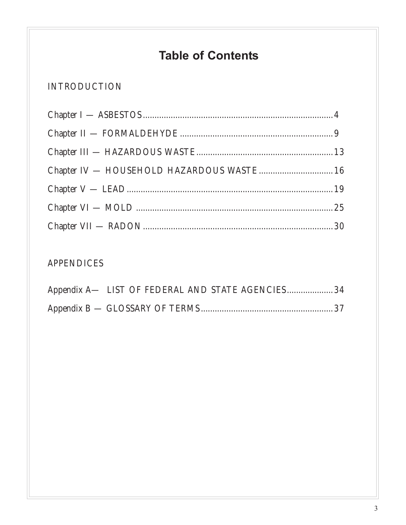# **Table of Contents**

# INTRODUCTION

| Chapter IV - HOUSEHOLD HAZARDOUS WASTE 16 |  |
|-------------------------------------------|--|
|                                           |  |
|                                           |  |
|                                           |  |

# APPENDICES

| Appendix A— LIST OF FEDERAL AND STATE AGENCIES 34 |  |  |
|---------------------------------------------------|--|--|
|                                                   |  |  |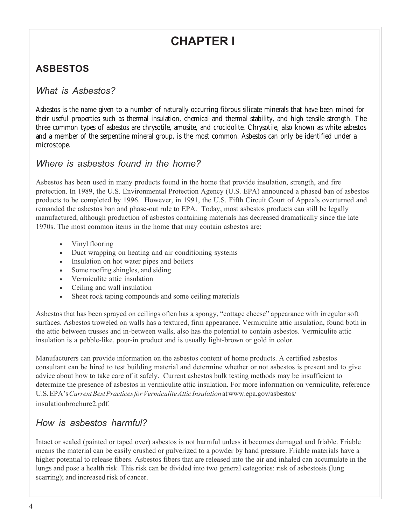# **CHAPTER I**

# **ASBESTOS**

## *What is Asbestos?*

Asbestos is the name given to a number of naturally occurring fibrous silicate minerals that have been mined for their useful properties such as thermal insulation, chemical and thermal stability, and high tensile strength. The three common types of asbestos are chrysotile, amosite, and crocidolite. Chrysotile, also known as white asbestos and a member of the serpentine mineral group, is the most common. Asbestos can only be identified under a microscope.

## *Where is asbestos found in the home?*

Asbestos has been used in many products found in the home that provide insulation, strength, and fire protection. In 1989, the U.S. Environmental Protection Agency (U.S. EPA) announced a phased ban of asbestos products to be completed by 1996. However, in 1991, the U.S. Fifth Circuit Court of Appeals overturned and remanded the asbestos ban and phase-out rule to EPA. Today, most asbestos products can still be legally manufactured, although production of asbestos containing materials has decreased dramatically since the late 1970s. The most common items in the home that may contain asbestos are:

- Vinyl flooring
- Duct wrapping on heating and air conditioning systems
- Insulation on hot water pipes and boilers
- Some roofing shingles, and siding
- Vermiculite attic insulation
- Ceiling and wall insulation
- Sheet rock taping compounds and some ceiling materials

Asbestos that has been sprayed on ceilings often has a spongy, "cottage cheese" appearance with irregular soft surfaces. Asbestos troweled on walls has a textured, firm appearance. Vermiculite attic insulation, found both in the attic between trusses and in-between walls, also has the potential to contain asbestos. Vermiculite attic insulation is a pebble-like, pour-in product and is usually light-brown or gold in color.

Manufacturers can provide information on the asbestos content of home products. A certified asbestos consultant can be hired to test building material and determine whether or not asbestos is present and to give advice about how to take care of it safely. Current asbestos bulk testing methods may be insufficient to determine the presence of asbestos in vermiculite attic insulation. For more information on vermiculite, reference U.S. EPA's *Current Best Practices for Vermiculite Attic Insulation* at www.epa.gov/asbestos/ insulationbrochure2.pdf.

## *How is asbestos harmful?*

Intact or sealed (painted or taped over) asbestos is not harmful unless it becomes damaged and friable. Friable means the material can be easily crushed or pulverized to a powder by hand pressure. Friable materials have a higher potential to release fibers. Asbestos fibers that are released into the air and inhaled can accumulate in the lungs and pose a health risk. This risk can be divided into two general categories: risk of asbestosis (lung scarring); and increased risk of cancer.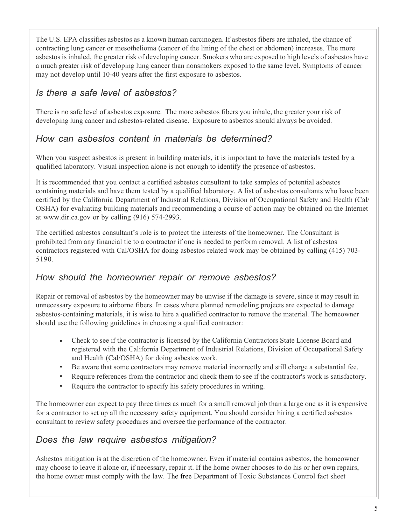The U.S. EPA classifies asbestos as a known human carcinogen. If asbestos fibers are inhaled, the chance of contracting lung cancer or mesothelioma (cancer of the lining of the chest or abdomen) increases. The more asbestos is inhaled, the greater risk of developing cancer. Smokers who are exposed to high levels of asbestos have a much greater risk of developing lung cancer than nonsmokers exposed to the same level. Symptoms of cancer may not develop until 10-40 years after the first exposure to asbestos.

# *Is there a safe level of asbestos?*

There is no safe level of asbestos exposure. The more asbestos fibers you inhale, the greater your risk of developing lung cancer and asbestos-related disease. Exposure to asbestos should always be avoided.

## *How can asbestos content in materials be determined?*

When you suspect asbestos is present in building materials, it is important to have the materials tested by a qualified laboratory. Visual inspection alone is not enough to identify the presence of asbestos.

It is recommended that you contact a certified asbestos consultant to take samples of potential asbestos containing materials and have them tested by a qualified laboratory. A list of asbestos consultants who have been certified by the California Department of Industrial Relations, Division of Occupational Safety and Health (Cal/ OSHA) for evaluating building materials and recommending a course of action may be obtained on the Internet at www.dir.ca.gov or by calling (916) 574-2993.

The certified asbestos consultant's role is to protect the interests of the homeowner. The Consultant is prohibited from any financial tie to a contractor if one is needed to perform removal. A list of asbestos contractors registered with Cal/OSHA for doing asbestos related work may be obtained by calling (415) 703- 5190.

## *How should the homeowner repair or remove asbestos?*

Repair or removal of asbestos by the homeowner may be unwise if the damage is severe, since it may result in unnecessary exposure to airborne fibers. In cases where planned remodeling projects are expected to damage asbestos-containing materials, it is wise to hire a qualified contractor to remove the material. The homeowner should use the following guidelines in choosing a qualified contractor:

- Check to see if the contractor is licensed by the California Contractors State License Board and registered with the California Department of Industrial Relations, Division of Occupational Safety and Health (Cal/OSHA) for doing asbestos work.
- Be aware that some contractors may remove material incorrectly and still charge a substantial fee.
- Require references from the contractor and check them to see if the contractor's work is satisfactory.
- Require the contractor to specify his safety procedures in writing.

The homeowner can expect to pay three times as much for a small removal job than a large one as it is expensive for a contractor to set up all the necessary safety equipment. You should consider hiring a certified asbestos consultant to review safety procedures and oversee the performance of the contractor.

## *Does the law require asbestos mitigation?*

Asbestos mitigation is at the discretion of the homeowner. Even if material contains asbestos, the homeowner may choose to leave it alone or, if necessary, repair it. If the home owner chooses to do his or her own repairs, the home owner must comply with the law. The free Department of Toxic Substances Control fact sheet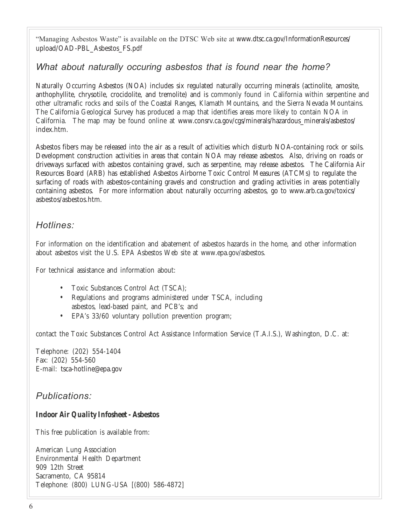"Managing Asbestos Waste" is available on the DTSC Web site at www.dtsc.ca.gov/InformationResources/ upload/OAD-PBL\_Asbestos\_FS.pdf

## *What about naturally occuring asbestos that is found near the home?*

Naturally Occurring Asbestos (NOA) includes six regulated naturally occurring minerals (actinolite, amosite, anthophyllite, chrysotile, crocidolite, and tremolite) and is commonly found in California within serpentine and other ultramafic rocks and soils of the Coastal Ranges, Klamath Mountains, and the Sierra Nevada Mountains. The California Geological Survey has produced a map that identifies areas more likely to contain NOA in California. The map may be found online at www.consrv.ca.gov/cgs/minerals/hazardous\_minerals/asbestos/ index.htm.

Asbestos fibers may be released into the air as a result of activities which disturb NOA-containing rock or soils. Development construction activities in areas that contain NOA may release asbestos. Also, driving on roads or driveways surfaced with asbestos containing gravel, such as serpentine, may release asbestos. The California Air Resources Board (ARB) has established Asbestos Airborne Toxic Control Measures (ATCMs) to regulate the surfacing of roads with asbestos-containing gravels and construction and grading activities in areas potentially containing asbestos. For more information about naturally occurring asbestos, go to www.arb.ca.gov/toxics/ asbestos/asbestos.htm.

### *Hotlines:*

For information on the identification and abatement of asbestos hazards in the home, and other information about asbestos visit the U.S. EPA Asbestos Web site at www.epa.gov/asbestos.

For technical assistance and information about:

- Toxic Substances Control Act (TSCA);
- Regulations and programs administered under TSCA, including asbestos, lead-based paint, and PCB's; and
- EPA's 33/60 voluntary pollution prevention program;

contact the Toxic Substances Control Act Assistance Information Service (T.A.I.S.), Washington, D.C. at:

Telephone: (202) 554-1404 Fax: (202) 554-560 E-mail: tsca-hotline@epa.gov

### *Publications:*

#### *Indoor Air Quality Infosheet - Asbestos*

This free publication is available from:

American Lung Association Environmental Health Department 909 12th Street Sacramento, CA 95814 Telephone: (800) LUNG-USA [(800) 586-4872]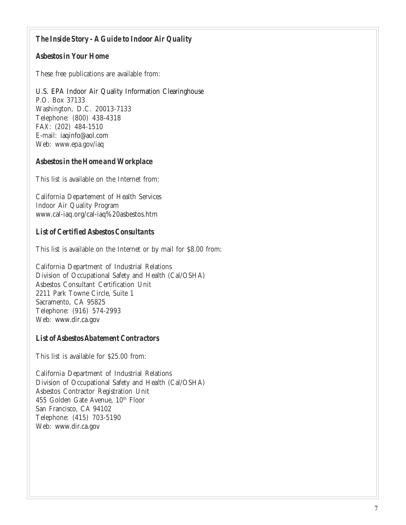#### *The Inside Story - A Guide to Indoor Air Quality*

#### *Asbestos in Your Home*

These free publications are available from:

U.S. EPA Indoor Air Quality Information Clearinghouse P.O. Box 37133 Washington, D.C. 20013-7133 Telephone: (800) 438-4318 FAX: (202) 484-1510 E-mail: iaqinfo@aol.com Web: www.epa.gov/iaq

#### *Asbestos in the Home and Workplace*

This list is available on the Internet from:

California Departement of Health Services Indoor Air Quality Program www.cal-iaq.org/cal-iaq%20asbestos.htm

#### *List of Certified Asbestos Consultants*

This list is available on the Internet or by mail for \$8.00 from:

California Department of Industrial Relations Division of Occupational Safety and Health (Cal/OSHA) Asbestos Consultant Certification Unit 2211 Park Towne Circle, Suite 1 Sacramento, CA 95825 Telephone: (916) 574-2993 Web: www.dir.ca.gov

#### *List of Asbestos Abatement Contractors*

This list is available for \$25.00 from:

California Department of Industrial Relations Division of Occupational Safety and Health (Cal/OSHA) Asbestos Contractor Registration Unit 455 Golden Gate Avenue, 10<sup>th</sup> Floor San Francisco, CA 94102 Telephone: (415) 703-5190 Web: www.dir.ca.gov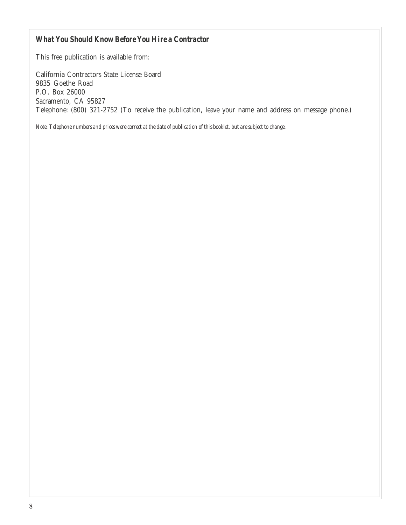#### *What You Should Know Before You Hire a Contractor*

This free publication is available from:

California Contractors State License Board 9835 Goethe Road P.O. Box 26000 Sacramento, CA 95827 Telephone: (800) 321-2752 (To receive the publication, leave your name and address on message phone.)

*Note: Telephone numbers and prices were correct at the date of publication of this booklet, but are subject to change.*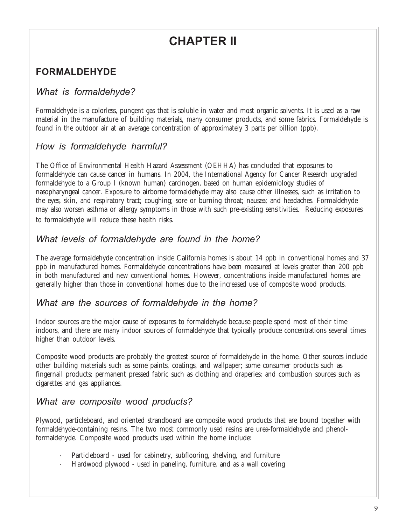# **CHAPTER II**

# **FORMALDEHYDE**

## *What is formaldehyde?*

Formaldehyde is a colorless, pungent gas that is soluble in water and most organic solvents. It is used as a raw material in the manufacture of building materials, many consumer products, and some fabrics. Formaldehyde is found in the outdoor air at an average concentration of approximately 3 parts per billion (ppb).

## *How is formaldehyde harmful?*

The Office of Environmental Health Hazard Assessment (OEHHA) has concluded that exposures to formaldehyde can cause cancer in humans. In 2004, the International Agency for Cancer Research upgraded formaldehyde to a Group I (known human) carcinogen, based on human epidemiology studies of nasopharyngeal cancer. Exposure to airborne formaldehyde may also cause other illnesses, such as irritation to the eyes, skin, and respiratory tract; coughing; sore or burning throat; nausea; and headaches. Formaldehyde may also worsen asthma or allergy symptoms in those with such pre-existing sensitivities. Reducing exposures to formaldehyde will reduce these health risks.

### *What levels of formaldehyde are found in the home?*

The average formaldehyde concentration inside California homes is about 14 ppb in conventional homes and 37 ppb in manufactured homes. Formaldehyde concentrations have been measured at levels greater than 200 ppb in both manufactured and new conventional homes. However, concentrations inside manufactured homes are generally higher than those in conventional homes due to the increased use of composite wood products.

### *What are the sources of formaldehyde in the home?*

Indoor sources are the major cause of exposures to formaldehyde because people spend most of their time indoors, and there are many indoor sources of formaldehyde that typically produce concentrations several times higher than outdoor levels.

Composite wood products are probably the greatest source of formaldehyde in the home. Other sources include other building materials such as some paints, coatings, and wallpaper; some consumer products such as fingernail products; permanent pressed fabric such as clothing and draperies; and combustion sources such as cigarettes and gas appliances.

### *What are composite wood products?*

Plywood, particleboard, and oriented strandboard are composite wood products that are bound together with formaldehyde-containing resins. The two most commonly used resins are urea-formaldehyde and phenolformaldehyde. Composite wood products used within the home include:

- Particleboard used for cabinetry, subflooring, shelving, and furniture
- · Hardwood plywood used in paneling, furniture, and as a wall covering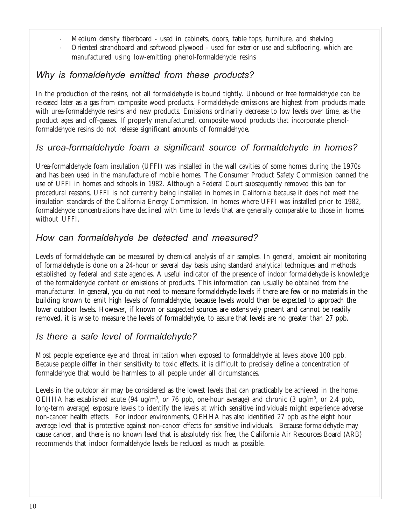- · Medium density fiberboard used in cabinets, doors, table tops, furniture, and shelving
- · Oriented strandboard and softwood plywood used for exterior use and subflooring, which are manufactured using low-emitting phenol-formaldehyde resins

## *Why is formaldehyde emitted from these products?*

In the production of the resins, not all formaldehyde is bound tightly. Unbound or free formaldehyde can be released later as a gas from composite wood products. Formaldehyde emissions are highest from products made with urea-formaldehyde resins and new products. Emissions ordinarily decrease to low levels over time, as the product ages and off-gasses. If properly manufactured, composite wood products that incorporate phenolformaldehyde resins do not release significant amounts of formaldehyde.

## *Is urea-formaldehyde foam a significant source of formaldehyde in homes?*

Urea-formaldehyde foam insulation (UFFI) was installed in the wall cavities of some homes during the 1970s and has been used in the manufacture of mobile homes. The Consumer Product Safety Commission banned the use of UFFI in homes and schools in 1982. Although a Federal Court subsequently removed this ban for procedural reasons, UFFI is not currently being installed in homes in California because it does not meet the insulation standards of the California Energy Commission. In homes where UFFI was installed prior to 1982, formaldehyde concentrations have declined with time to levels that are generally comparable to those in homes without UFFI.

## *How can formaldehyde be detected and measured?*

Levels of formaldehyde can be measured by chemical analysis of air samples. In general, ambient air monitoring of formaldehyde is done on a 24-hour or several day basis using standard analytical techniques and methods established by federal and state agencies. A useful indicator of the presence of indoor formaldehyde is knowledge of the formaldehyde content or emissions of products. This information can usually be obtained from the manufacturer. In general, you do not need to measure formaldehyde levels if there are few or no materials in the building known to emit high levels of formaldehyde, because levels would then be expected to approach the lower outdoor levels. However, if known or suspected sources are extensively present and cannot be readily removed, it is wise to measure the levels of formaldehyde, to assure that levels are no greater than 27 ppb.

## *Is there a safe level of formaldehyde?*

Most people experience eye and throat irritation when exposed to formaldehyde at levels above 100 ppb. Because people differ in their sensitivity to toxic effects, it is difficult to precisely define a concentration of formaldehyde that would be harmless to all people under all circumstances.

Levels in the outdoor air may be considered as the lowest levels that can practicably be achieved in the home. OEHHA has established acute (94 ug/m<sup>3</sup>, or 76 ppb, one-hour average) and chronic (3 ug/m<sup>3</sup>, or 2.4 ppb, long-term average) exposure levels to identify the levels at which sensitive individuals might experience adverse non-cancer health effects. For indoor environments, OEHHA has also identified 27 ppb as the eight hour average level that is protective against non-cancer effects for sensitive individuals. Because formaldehyde may cause cancer, and there is no known level that is absolutely risk free, the California Air Resources Board (ARB) recommends that indoor formaldehyde levels be reduced as much as possible.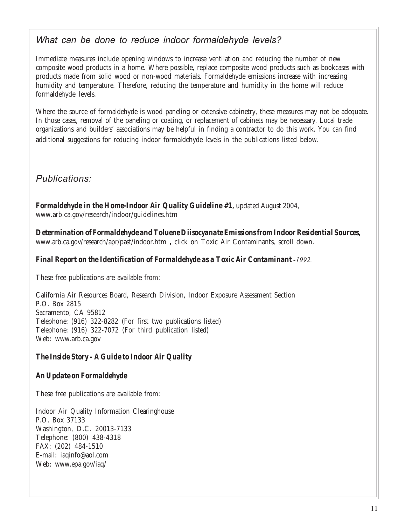## *What can be done to reduce indoor formaldehyde levels?*

Immediate measures include opening windows to increase ventilation and reducing the number of new composite wood products in a home. Where possible, replace composite wood products such as bookcases with products made from solid wood or non-wood materials. Formaldehyde emissions increase with increasing humidity and temperature. Therefore, reducing the temperature and humidity in the home will reduce formaldehyde levels.

Where the source of formaldehyde is wood paneling or extensive cabinetry, these measures may not be adequate. In those cases, removal of the paneling or coating, or replacement of cabinets may be necessary. Local trade organizations and builders' associations may be helpful in finding a contractor to do this work. You can find additional suggestions for reducing indoor formaldehyde levels in the publications listed below.

# *Publications:*

*Formaldehyde in the Home-Indoor Air Quality Guideline #1,* updated August 2004, www.arb.ca.gov/research/indoor/guidelines.htm

*Determination of Formaldehyde and Toluene Diisocyanate Emissions from Indoor Residential Sources***,** www.arb.ca.gov/research/apr/past/indoor.htm *,* click on Toxic Air Contaminants, scroll down.

#### *Final Report on the Identification of Formaldehyde as a Toxic Air Contaminant -1992.*

These free publications are available from:

California Air Resources Board, Research Division, Indoor Exposure Assessment Section P.O. Box 2815 Sacramento, CA 95812 Telephone: (916) 322-8282 (For first two publications listed) Telephone: (916) 322-7072 (For third publication listed) Web: www.arb.ca.gov

#### *The Inside Story - A Guide to Indoor Air Quality*

#### *An Update on Formaldehyde*

These free publications are available from:

Indoor Air Quality Information Clearinghouse P.O. Box 37133 Washington, D.C. 20013-7133 Telephone: (800) 438-4318 FAX: (202) 484-1510 E-mail: iaqinfo@aol.com Web: www.epa.gov/iaq/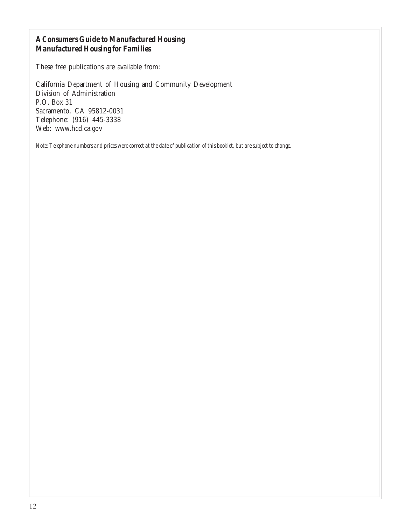#### *A Consumers Guide to Manufactured Housing Manufactured Housing for Families*

These free publications are available from:

California Department of Housing and Community Development Division of Administration P.O. Box 31 Sacramento, CA 95812-0031 Telephone: (916) 445-3338 Web: www.hcd.ca.gov

*Note: Telephone numbers and prices were correct at the date of publication of this booklet, but are subject to change.*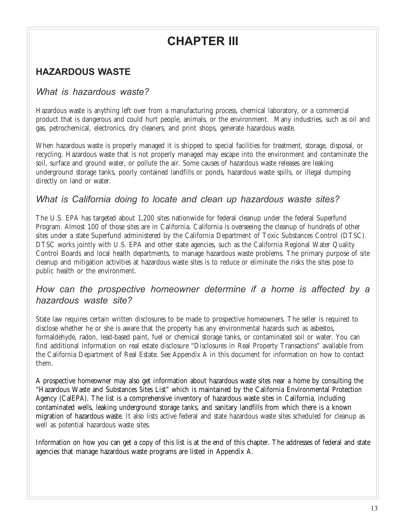# **CHAPTER III**

# **HAZARDOUS WASTE**

## *What is hazardous waste?*

Hazardous waste is anything left over from a manufacturing process, chemical laboratory, or a commercial product that is dangerous and could hurt people, animals, or the environment. Many industries, such as oil and gas, petrochemical, electronics, dry cleaners, and print shops, generate hazardous waste.

When hazardous waste is properly managed it is shipped to special facilities for treatment, storage, disposal, or recycling. Hazardous waste that is not properly managed may escape into the environment and contaminate the soil, surface and ground water, or pollute the air. Some causes of hazardous waste releases are leaking underground storage tanks, poorly contained landfills or ponds, hazardous waste spills, or illegal dumping directly on land or water.

### *What is California doing to locate and clean up hazardous waste sites?*

The U.S. EPA has targeted about 1,200 sites nationwide for federal cleanup under the federal Superfund Program. Almost 100 of those sites are in California. California is overseeing the cleanup of hundreds of other sites under a state Superfund administered by the California Department of Toxic Substances Control (DTSC). DTSC works jointly with U.S. EPA and other state agencies, such as the California Regional Water Quality Control Boards and local health departments, to manage hazardous waste problems. The primary purpose of site cleanup and mitigation activities at hazardous waste sites is to reduce or eliminate the risks the sites pose to public health or the environment.

## *How can the prospective homeowner determine if a home is affected by a hazardous waste site?*

State law requires certain written disclosures to be made to prospective homeowners. The seller is required to disclose whether he or she is aware that the property has any environmental hazards such as asbestos, formaldehyde, radon, lead-based paint, fuel or chemical storage tanks, or contaminated soil or water. You can find additional information on real estate disclosure "Disclosures in Real Property Transactions" available from the California Department of Real Estate. See Appendix A in this document for information on how to contact them.

A prospective homeowner may also get information about hazardous waste sites near a home by consulting the "Hazardous Waste and Substances Sites List" which is maintained by the California Environmental Protection Agency (CalEPA). The list is a comprehensive inventory of hazardous waste sites in California, including contaminated wells, leaking underground storage tanks, and sanitary landfills from which there is a known migration of hazardous waste. It also lists active federal and state hazardous waste sites scheduled for cleanup as well as potential hazardous waste sites.

Information on how you can get a copy of this list is at the end of this chapter. The addresses of federal and state agencies that manage hazardous waste programs are listed in Appendix A.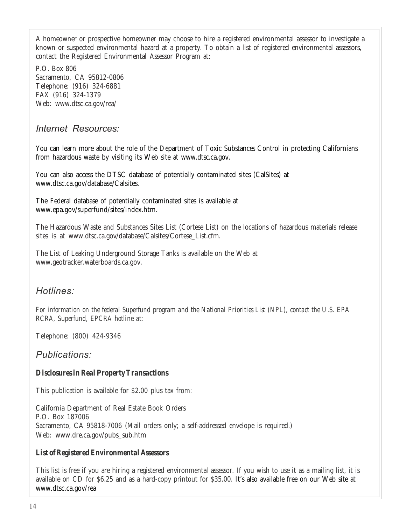A homeowner or prospective homeowner may choose to hire a registered environmental assessor to investigate a known or suspected environmental hazard at a property. To obtain a list of registered environmental assessors, contact the Registered Environmental Assessor Program at:

P.O. Box 806 Sacramento, CA 95812-0806 Telephone: (916) 324-6881 FAX (916) 324-1379 Web: www.dtsc.ca.gov/rea/

### *Internet Resources:*

You can learn more about the role of the Department of Toxic Substances Control in protecting Californians from hazardous waste by visiting its Web site at www.dtsc.ca.gov.

You can also access the DTSC database of potentially contaminated sites (CalSites) at www.dtsc.ca.gov/database/Calsites.

The Federal database of potentially contaminated sites is available at www.epa.gov/superfund/sites/index.htm.

The Hazardous Waste and Substances Sites List (Cortese List) on the locations of hazardous materials release sites is at www.dtsc.ca.gov/database/Calsites/Cortese\_List.cfm.

The List of Leaking Underground Storage Tanks is available on the Web at www.geotracker.waterboards.ca.gov.

### *Hotlines:*

*For information on the federal Superfund program and the National Priorities List (NPL), contact the U.S. EPA RCRA, Superfund, EPCRA hotline at:*

Telephone: (800) 424-9346

### *Publications:*

#### *Disclosures in Real Property Transactions*

This publication is available for \$2.00 plus tax from:

California Department of Real Estate Book Orders P.O. Box 187006 Sacramento, CA 95818-7006 (Mail orders only; a self-addressed envelope is required.) Web: www.dre.ca.gov/pubs\_sub.htm

#### *List of Registered Environmental Assessors*

This list is free if you are hiring a registered environmental assessor. If you wish to use it as a mailing list, it is available on CD for \$6.25 and as a hard-copy printout for \$35.00. It's also available free on our Web site at www.dtsc.ca.gov/rea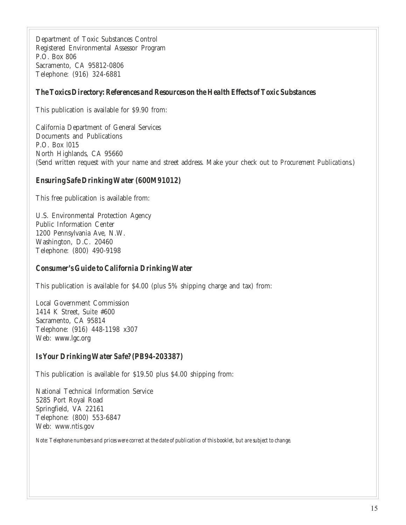Department of Toxic Substances Control Registered Environmental Assessor Program P.O. Box 806 Sacramento, CA 95812-0806 Telephone: (916) 324-6881

#### *The Toxics Directory: References and Resources on the Health Effects of Toxic Substances*

This publication is available for \$9.90 from:

California Department of General Services Documents and Publications P.O. Box l015 North Highlands, CA 95660 (Send written request with your name and street address. Make your check out to *Procurement Publications*.)

#### *Ensuring Safe Drinking Water (600M91012)*

This free publication is available from:

U.S. Environmental Protection Agency Public Information Center 1200 Pennsylvania Ave, N.W. Washington, D.C. 20460 Telephone: (800) 490-9198

#### *Consumer's Guide to California Drinking Water*

This publication is available for \$4.00 (plus 5% shipping charge and tax) from:

Local Government Commission 1414 K Street, Suite #600 Sacramento, CA 95814 Telephone: (916) 448-1198 x307 Web: www.lgc.org

#### *Is Your Drinking Water Safe? (PB94-203387)*

This publication is available for \$19.50 plus \$4.00 shipping from:

National Technical Information Service 5285 Port Royal Road Springfield, VA 22161 Telephone: (800) 553-6847 Web: www.ntis.gov

*Note: Telephone numbers and prices were correct at the date of publication of this booklet, but are subject to change.*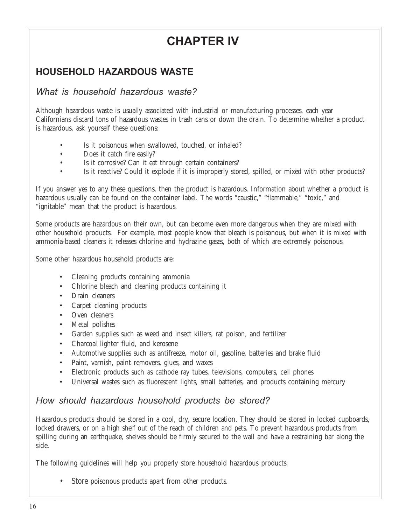# **CHAPTER IV**

# **HOUSEHOLD HAZARDOUS WASTE**

### *What is household hazardous waste?*

Although hazardous waste is usually associated with industrial or manufacturing processes, each year Californians discard tons of hazardous wastes in trash cans or down the drain. To determine whether a product is hazardous, ask yourself these questions:

- Is it poisonous when swallowed, touched, or inhaled?
- Does it catch fire easily?
- Is it corrosive? Can it eat through certain containers?
- Is it reactive? Could it explode if it is improperly stored, spilled, or mixed with other products?

If you answer yes to any these questions, then the product is hazardous. Information about whether a product is hazardous usually can be found on the container label. The words "caustic," "flammable," "toxic," and "ignitable" mean that the product is hazardous.

Some products are hazardous on their own, but can become even more dangerous when they are mixed with other household products. For example, most people know that bleach is poisonous, but when it is mixed with ammonia-based cleaners it releases chlorine and hydrazine gases, both of which are extremely poisonous.

Some other hazardous household products are:

- Cleaning products containing ammonia
- Chlorine bleach and cleaning products containing it
- Drain cleaners
- Carpet cleaning products
- Oven cleaners
- Metal polishes
- Garden supplies such as weed and insect killers, rat poison, and fertilizer
- Charcoal lighter fluid, and kerosene
- Automotive supplies such as antifreeze, motor oil, gasoline, batteries and brake fluid
- Paint, varnish, paint removers, glues, and waxes
- Electronic products such as cathode ray tubes, televisions, computers, cell phones
- Universal wastes such as fluorescent lights, small batteries, and products containing mercury

## *How should hazardous household products be stored?*

Hazardous products should be stored in a cool, dry, secure location. They should be stored in locked cupboards, locked drawers, or on a high shelf out of the reach of children and pets. To prevent hazardous products from spilling during an earthquake, shelves should be firmly secured to the wall and have a restraining bar along the side.

The following guidelines will help you properly store household hazardous products:

• Store poisonous products apart from other products.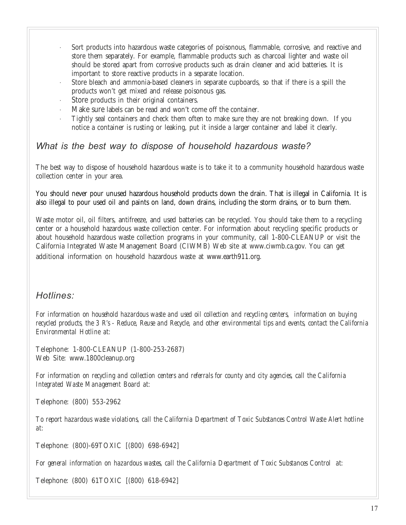- Sort products into hazardous waste categories of poisonous, flammable, corrosive, and reactive and store them separately. For example, flammable products such as charcoal lighter and waste oil should be stored apart from corrosive products such as drain cleaner and acid batteries. It is important to store reactive products in a separate location.
- · Store bleach and ammonia-based cleaners in separate cupboards, so that if there is a spill the products won't get mixed and release poisonous gas.
- Store products in their original containers.
- Make sure labels can be read and won't come off the container.
- · Tightly seal containers and check them often to make sure they are not breaking down. If you notice a container is rusting or leaking, put it inside a larger container and label it clearly.

#### *What is the best way to dispose of household hazardous waste?*

The best way to dispose of household hazardous waste is to take it to a community household hazardous waste collection center in your area.

You should never pour unused hazardous household products down the drain. That is illegal in California. It is also illegal to pour used oil and paints on land, down drains, including the storm drains, or to burn them.

Waste motor oil, oil filters, antifreeze, and used batteries can be recycled. You should take them to a recycling center or a household hazardous waste collection center. For information about recycling specific products or about household hazardous waste collection programs in your community, call 1-800-CLEANUP or visit the California Integrated Waste Management Board (CIWMB) Web site at www.ciwmb.ca.gov. You can get additional information on household hazardous waste at www.earth911.org.

### *Hotlines:*

*For information on household hazardous waste and used oil collection and recycling centers, information on buying recycled products, the 3 R's - Reduce, Reuse and Recycle, and other environmental tips and events, contact the California Environmental Hotline at:*

Telephone: 1-800-CLEANUP (1-800-253-2687) Web Site: www.1800cleanup.org

*For information on recycling and collection centers and referrals for county and city agencies, call the California Integrated Waste Management Board at:*

Telephone: (800) 553-2962

*To report hazardous waste violations, call the California Department of Toxic Substances Control Waste Alert hotline at:*

Telephone: (800)-69TOXIC [(800) 698-6942]

*For general information on hazardous wastes, call the California Department of Toxic Substances Control at:*

Telephone: (800) 61TOXIC [(800) 618-6942]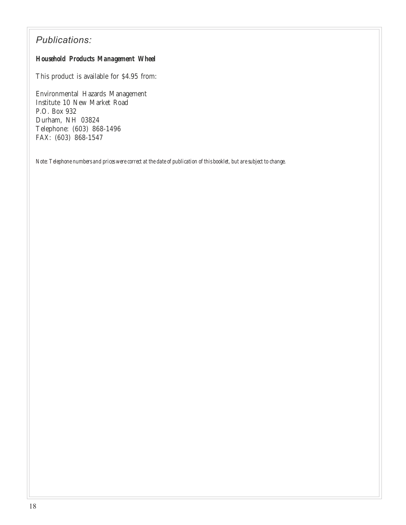## *Publications:*

#### *Household Products Management Wheel*

This product is available for \$4.95 from:

Environmental Hazards Management Institute 10 New Market Road P.O. Box 932 Durham, NH 03824 Telephone: (603) 868-1496 FAX: (603) 868-1547

*Note: Telephone numbers and prices were correct at the date of publication of this booklet, but are subject to change.*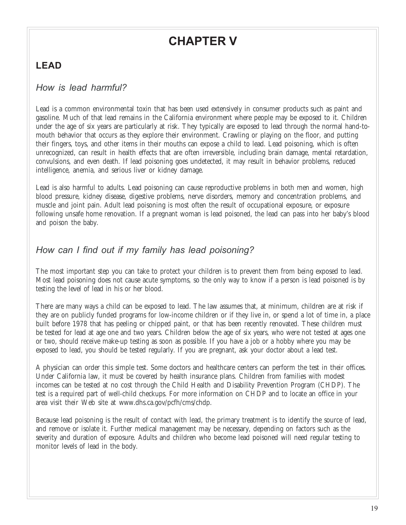# **CHAPTER V**

# **LEAD**

## *How is lead harmful?*

Lead is a common environmental toxin that has been used extensively in consumer products such as paint and gasoline. Much of that lead remains in the California environment where people may be exposed to it. Children under the age of six years are particularly at risk. They typically are exposed to lead through the normal hand-tomouth behavior that occurs as they explore their environment. Crawling or playing on the floor, and putting their fingers, toys, and other items in their mouths can expose a child to lead. Lead poisoning, which is often unrecognized, can result in health effects that are often irreversible, including brain damage, mental retardation, convulsions, and even death. If lead poisoning goes undetected, it may result in behavior problems, reduced intelligence, anemia, and serious liver or kidney damage.

Lead is also harmful to adults. Lead poisoning can cause reproductive problems in both men and women, high blood pressure, kidney disease, digestive problems, nerve disorders, memory and concentration problems, and muscle and joint pain. Adult lead poisoning is most often the result of occupational exposure, or exposure following unsafe home renovation. If a pregnant woman is lead poisoned, the lead can pass into her baby's blood and poison the baby.

## *How can I find out if my family has lead poisoning?*

The most important step you can take to protect your children is to prevent them from being exposed to lead. Most lead poisoning does not cause acute symptoms, so the only way to know if a person is lead poisoned is by testing the level of lead in his or her blood.

There are many ways a child can be exposed to lead. The law assumes that, at minimum, children are at risk if they are on publicly funded programs for low-income children or if they live in, or spend a lot of time in, a place built before 1978 that has peeling or chipped paint, or that has been recently renovated. These children must be tested for lead at age one and two years. Children below the age of six years, who were not tested at ages one or two, should receive make-up testing as soon as possible. If you have a job or a hobby where you may be exposed to lead, you should be tested regularly. If you are pregnant, ask your doctor about a lead test.

A physician can order this simple test. Some doctors and healthcare centers can perform the test in their offices. Under California law, it must be covered by health insurance plans. Children from families with modest incomes can be tested at no cost through the Child Health and Disability Prevention Program (CHDP). The test is a required part of well-child checkups. For more information on CHDP and to locate an office in your area visit their Web site at www.dhs.ca.gov/pcfh/cms/chdp.

Because lead poisoning is the result of contact with lead, the primary treatment is to identify the source of lead, and remove or isolate it. Further medical management may be necessary, depending on factors such as the severity and duration of exposure. Adults and children who become lead poisoned will need regular testing to monitor levels of lead in the body.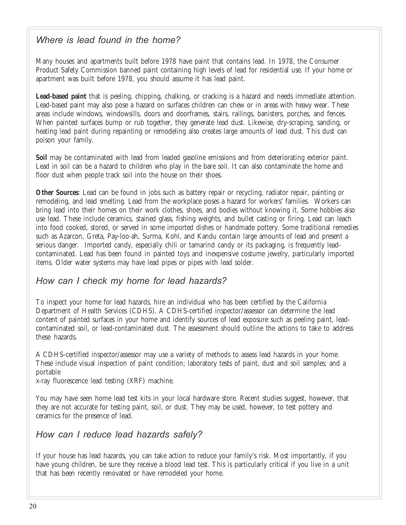## *Where is lead found in the home?*

Many houses and apartments built before 1978 have paint that contains lead. In 1978, the Consumer Product Safety Commission banned paint containing high levels of lead for residential use. If your home or apartment was built before 1978, you should assume it has lead paint.

**Lead-based paint** that is peeling, chipping, chalking, or cracking is a hazard and needs immediate attention. Lead-based paint may also pose a hazard on surfaces children can chew or in areas with heavy wear. These areas include windows, windowsills, doors and doorframes, stairs, railings, banisters, porches, and fences. When painted surfaces bump or rub together, they generate lead dust. Likewise, dry-scraping, sanding, or heating lead paint during repainting or remodeling also creates large amounts of lead dust. This dust can poison your family.

**Soil** may be contaminated with lead from leaded gasoline emissions and from deteriorating exterior paint. Lead in soil can be a hazard to children who play in the bare soil. It can also contaminate the home and floor dust when people track soil into the house on their shoes.

**Other Sources**: Lead can be found in jobs such as battery repair or recycling, radiator repair, painting or remodeling, and lead smelting. Lead from the workplace poses a hazard for workers' families. Workers can bring lead into their homes on their work clothes, shoes, and bodies without knowing it. Some hobbies also use lead. These include ceramics, stained glass, fishing weights, and bullet casting or firing. Lead can leach into food cooked, stored, or served in some imported dishes or handmade pottery. Some traditional remedies such as Azarcon, Greta, Pay-loo-ah, Surma, Kohl, and Kandu contain large amounts of lead and present a serious danger. Imported candy, especially chili or tamarind candy or its packaging, is frequently leadcontaminated. Lead has been found in painted toys and inexpensive costume jewelry, particularly imported items. Older water systems may have lead pipes or pipes with lead solder.

## *How can I check my home for lead hazards?*

To inspect your home for lead hazards, hire an individual who has been certified by the California Department of Health Services (CDHS). A CDHS-certified inspector/assessor can determine the lead content of painted surfaces in your home and identify sources of lead exposure such as peeling paint, leadcontaminated soil, or lead-contaminated dust. The assessment should outline the actions to take to address these hazards.

A CDHS-certified inspector/assessor may use a variety of methods to assess lead hazards in your home. These include visual inspection of paint condition; laboratory tests of paint, dust and soil samples; and a portable

x-ray fluorescence lead testing (XRF) machine.

You may have seen home lead test kits in your local hardware store. Recent studies suggest, however, that they are not accurate for testing paint, soil, or dust. They may be used, however, to test pottery and ceramics for the presence of lead.

## *How can I reduce lead hazards safely?*

If your house has lead hazards, you can take action to reduce your family's risk. Most importantly, if you have young children, be sure they receive a blood lead test. This is particularly critical if you live in a unit that has been recently renovated or have remodeled your home.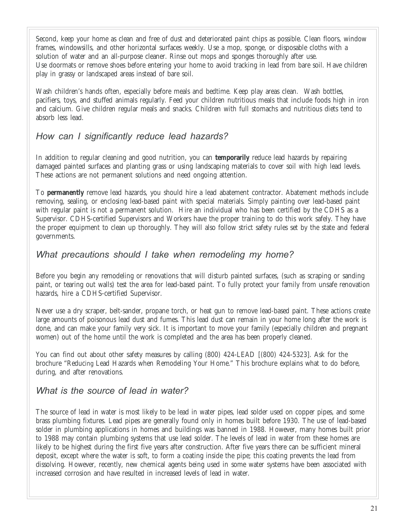Second, keep your home as clean and free of dust and deteriorated paint chips as possible. Clean floors, window frames, windowsills, and other horizontal surfaces weekly. Use a mop, sponge, or disposable cloths with a solution of water and an all-purpose cleaner. Rinse out mops and sponges thoroughly after use. Use doormats or remove shoes before entering your home to avoid tracking in lead from bare soil. Have children play in grassy or landscaped areas instead of bare soil.

Wash children's hands often, especially before meals and bedtime. Keep play areas clean. Wash bottles, pacifiers, toys, and stuffed animals regularly. Feed your children nutritious meals that include foods high in iron and calcium. Give children regular meals and snacks. Children with full stomachs and nutritious diets tend to absorb less lead.

## *How can I significantly reduce lead hazards?*

In addition to regular cleaning and good nutrition, you can **temporarily** reduce lead hazards by repairing damaged painted surfaces and planting grass or using landscaping materials to cover soil with high lead levels. These actions are not permanent solutions and need ongoing attention.

To **permanently** remove lead hazards, you should hire a lead abatement contractor. Abatement methods include removing, sealing, or enclosing lead-based paint with special materials. Simply painting over lead-based paint with regular paint is not a permanent solution. Hire an individual who has been certified by the CDHS as a Supervisor. CDHS-certified Supervisors and Workers have the proper training to do this work safely. They have the proper equipment to clean up thoroughly. They will also follow strict safety rules set by the state and federal governments.

## *What precautions should I take when remodeling my home?*

Before you begin any remodeling or renovations that will disturb painted surfaces, (such as scraping or sanding paint, or tearing out walls) test the area for lead-based paint. To fully protect your family from unsafe renovation hazards, hire a CDHS-certified Supervisor.

Never use a dry scraper, belt-sander, propane torch, or heat gun to remove lead-based paint. These actions create large amounts of poisonous lead dust and fumes. This lead dust can remain in your home long after the work is done, and can make your family very sick. It is important to move your family (especially children and pregnant women) out of the home until the work is completed and the area has been properly cleaned.

You can find out about other safety measures by calling (800) 424-LEAD [(800) 424-5323]. Ask for the brochure "Reducing Lead Hazards when Remodeling Your Home." This brochure explains what to do before, during, and after renovations.

## *What is the source of lead in water?*

The source of lead in water is most likely to be lead in water pipes, lead solder used on copper pipes, and some brass plumbing fixtures. Lead pipes are generally found only in homes built before 1930. The use of lead-based solder in plumbing applications in homes and buildings was banned in 1988. However, many homes built prior to 1988 may contain plumbing systems that use lead solder. The levels of lead in water from these homes are likely to be highest during the first five years after construction. After five years there can be sufficient mineral deposit, except where the water is soft, to form a coating inside the pipe; this coating prevents the lead from dissolving. However, recently, new chemical agents being used in some water systems have been associated with increased corrosion and have resulted in increased levels of lead in water.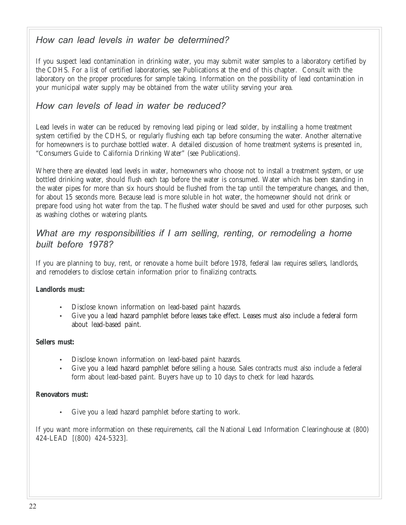## *How can lead levels in water be determined?*

If you suspect lead contamination in drinking water, you may submit water samples to a laboratory certified by the CDHS. For a list of certified laboratories, see Publications at the end of this chapter. Consult with the laboratory on the proper procedures for sample taking. Information on the possibility of lead contamination in your municipal water supply may be obtained from the water utility serving your area.

## *How can levels of lead in water be reduced?*

Lead levels in water can be reduced by removing lead piping or lead solder, by installing a home treatment system certified by the CDHS, or regularly flushing each tap before consuming the water. Another alternative for homeowners is to purchase bottled water. A detailed discussion of home treatment systems is presented in, "Consumers Guide to California Drinking Water" (see Publications).

Where there are elevated lead levels in water, homeowners who choose not to install a treatment system, or use bottled drinking water, should flush each tap before the water is consumed. Water which has been standing in the water pipes for more than six hours should be flushed from the tap until the temperature changes, and then, for about 15 seconds more. Because lead is more soluble in hot water, the homeowner should not drink or prepare food using hot water from the tap. The flushed water should be saved and used for other purposes, such as washing clothes or watering plants.

## *What are my responsibilities if I am selling, renting, or remodeling a home built before 1978?*

If you are planning to buy, rent, or renovate a home built before 1978, federal law requires sellers, landlords, and remodelers to disclose certain information prior to finalizing contracts.

#### **Landlords must:**

- Disclose known information on lead-based paint hazards.
- Give you a lead hazard pamphlet before leases take effect. Leases must also include a federal form about lead-based paint.

#### **Sellers must:**

- Disclose known information on lead-based paint hazards.
- Give you a lead hazard pamphlet before selling a house. Sales contracts must also include a federal form about lead-based paint. Buyers have up to 10 days to check for lead hazards.

#### **Renovators must:**

Give you a lead hazard pamphlet before starting to work.

If you want more information on these requirements, call the National Lead Information Clearinghouse at (800) 424-LEAD [(800) 424-5323].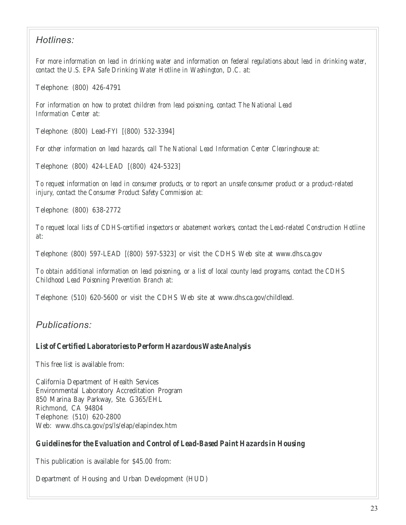## *Hotlines:*

*For more information on lead in drinking water and information on federal regulations about lead in drinking water, contact the U.S. EPA Safe Drinking Water Hotline in Washington, D.C. at:*

Telephone: (800) 426-4791

*For information on how to protect children from lead poisoning, contact The National Lead Information Center at:*

Telephone: (800) Lead-FYI [(800) 532-3394]

*For other information on lead hazards, call The National Lead Information Center Clearinghouse at:*

Telephone: (800) 424-LEAD [(800) 424-5323]

*To request information on lead in consumer products, or to report an unsafe consumer product or a product-related injury, contact the Consumer Product Safety Commission at:*

Telephone: (800) 638-2772

*To request local lists of CDHS-certified inspectors or abatement workers, contact the Lead-related Construction Hotline at:*

Telephone: (800) 597-LEAD [(800) 597-5323] or visit the CDHS Web site at www.dhs.ca.gov

*To obtain additional information on lead poisoning, or a list of local county lead programs, contact the CDHS Childhood Lead Poisoning Prevention Branch at:*

Telephone: (510) 620-5600 or visit the CDHS Web site at www.dhs.ca.gov/childlead.

*Publications:*

#### *List of Certified Laboratories to Perform Hazardous Waste Analysis*

This free list is available from:

California Department of Health Services Environmental Laboratory Accreditation Program 850 Marina Bay Parkway, Ste. G365/EHL Richmond, CA 94804 Telephone: (510) 620-2800 Web: www.dhs.ca.gov/ps/ls/elap/elapindex.htm

#### *Guidelines for the Evaluation and Control of Lead-Based Paint Hazards in Housing*

This publication is available for \$45.00 from:

Department of Housing and Urban Development (HUD)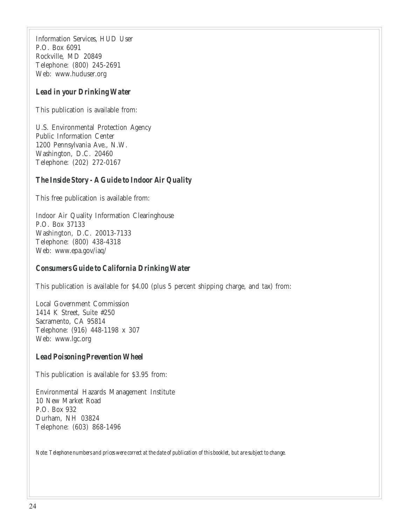Information Services, HUD User P.O. Box 6091 Rockville, MD 20849 Telephone: (800) 245-2691 Web: www.huduser.org

#### *Lead in your Drinking Water*

This publication is available from:

U.S. Environmental Protection Agency Public Information Center 1200 Pennsylvania Ave., N.W. Washington, D.C. 20460 Telephone: (202) 272-0167

#### *The Inside Story - A Guide to Indoor Air Quality*

This free publication is available from:

Indoor Air Quality Information Clearinghouse P.O. Box 37133 Washington, D.C. 20013-7133 Telephone: (800) 438-4318 Web: www.epa.gov/iaq/

#### *Consumers Guide to California Drinking Water*

This publication is available for \$4.00 (plus 5 percent shipping charge, and tax) from:

Local Government Commission 1414 K Street, Suite #250 Sacramento, CA 95814 Telephone: (916) 448-1198 x 307 Web: www.lgc.org

#### *Lead Poisoning Prevention Wheel*

This publication is available for \$3.95 from:

Environmental Hazards Management Institute 10 New Market Road P.O. Box 932 Durham, NH 03824 Telephone: (603) 868-1496

*Note: Telephone numbers and prices were correct at the date of publication of this booklet, but are subject to change.*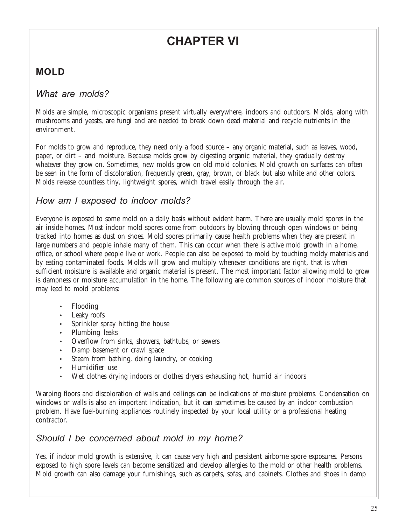# **CHAPTER VI**

# **MOLD**

## *What are molds?*

Molds are simple, microscopic organisms present virtually everywhere, indoors and outdoors. Molds, along with mushrooms and yeasts, are fungi and are needed to break down dead material and recycle nutrients in the environment.

For molds to grow and reproduce, they need only a food source – any organic material, such as leaves, wood, paper, or dirt – and moisture. Because molds grow by digesting organic material, they gradually destroy whatever they grow on. Sometimes, new molds grow on old mold colonies. Mold growth on surfaces can often be seen in the form of discoloration, frequently green, gray, brown, or black but also white and other colors. Molds release countless tiny, lightweight spores, which travel easily through the air.

## *How am I exposed to indoor molds?*

Everyone is exposed to some mold on a daily basis without evident harm. There are usually mold spores in the air inside homes. Most indoor mold spores come from outdoors by blowing through open windows or being tracked into homes as dust on shoes. Mold spores primarily cause health problems when they are present in large numbers and people inhale many of them. This can occur when there is active mold growth in a home, office, or school where people live or work. People can also be exposed to mold by touching moldy materials and by eating contaminated foods. Molds will grow and multiply whenever conditions are right, that is when sufficient moisture is available and organic material is present. The most important factor allowing mold to grow is dampness or moisture accumulation in the home. The following are common sources of indoor moisture that may lead to mold problems:

- Flooding
- Leaky roofs
- Sprinkler spray hitting the house
- Plumbing leaks
- Overflow from sinks, showers, bathtubs, or sewers
- Damp basement or crawl space
- Steam from bathing, doing laundry, or cooking
- Humidifier use
- Wet clothes drying indoors or clothes dryers exhausting hot, humid air indoors

Warping floors and discoloration of walls and ceilings can be indications of moisture problems. Condensation on windows or walls is also an important indication, but it can sometimes be caused by an indoor combustion problem. Have fuel-burning appliances routinely inspected by your local utility or a professional heating contractor.

### *Should I be concerned about mold in my home?*

Yes, if indoor mold growth is extensive, it can cause very high and persistent airborne spore exposures. Persons exposed to high spore levels can become sensitized and develop allergies to the mold or other health problems. Mold growth can also damage your furnishings, such as carpets, sofas, and cabinets. Clothes and shoes in damp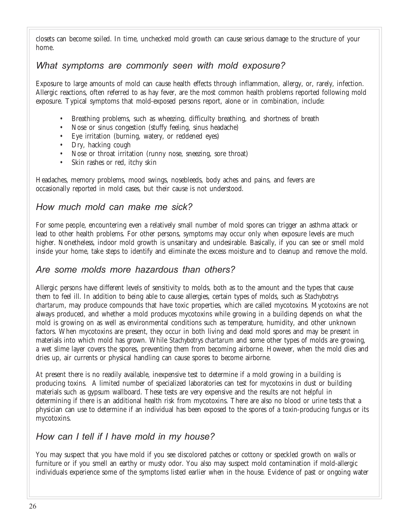closets can become soiled. In time, unchecked mold growth can cause serious damage to the structure of your home.

## *What symptoms are commonly seen with mold exposure?*

Exposure to large amounts of mold can cause health effects through inflammation, allergy, or, rarely, infection. Allergic reactions, often referred to as hay fever, are the most common health problems reported following mold exposure. Typical symptoms that mold-exposed persons report, alone or in combination, include:

- Breathing problems, such as wheezing, difficulty breathing, and shortness of breath
- Nose or sinus congestion (stuffy feeling, sinus headache)
- Eye irritation (burning, watery, or reddened eyes)
- Dry, hacking cough
- Nose or throat irritation (runny nose, sneezing, sore throat)
- Skin rashes or red, itchy skin

Headaches, memory problems, mood swings, nosebleeds, body aches and pains, and fevers are occasionally reported in mold cases, but their cause is not understood.

## *How much mold can make me sick?*

For some people, encountering even a relatively small number of mold spores can trigger an asthma attack or lead to other health problems. For other persons, symptoms may occur only when exposure levels are much higher. Nonetheless, indoor mold growth is unsanitary and undesirable. Basically, if you can see or smell mold inside your home, take steps to identify and eliminate the excess moisture and to cleanup and remove the mold.

### *Are some molds more hazardous than others?*

Allergic persons have different levels of sensitivity to molds, both as to the amount and the types that cause them to feel ill. In addition to being able to cause allergies, certain types of molds, such as *Stachybotrys chartarum*, may produce compounds that have toxic properties, which are called mycotoxins. Mycotoxins are not always produced, and whether a mold produces mycotoxins while growing in a building depends on what the mold is growing on as well as environmental conditions such as temperature, humidity, and other unknown factors. When mycotoxins are present, they occur in both living and dead mold spores and may be present in materials into which mold has grown. While *Stachybotrys chartarum* and some other types of molds are growing, a wet slime layer covers the spores, preventing them from becoming airborne. However, when the mold dies and dries up, air currents or physical handling can cause spores to become airborne.

At present there is no readily available, inexpensive test to determine if a mold growing in a building is producing toxins. A limited number of specialized laboratories can test for mycotoxins in dust or building materials such as gypsum wallboard. These tests are very expensive and the results are not helpful in determining if there is an additional health risk from mycotoxins. There are also no blood or urine tests that a physician can use to determine if an individual has been exposed to the spores of a toxin-producing fungus or its mycotoxins.

### *How can I tell if I have mold in my house?*

You may suspect that you have mold if you see discolored patches or cottony or speckled growth on walls or furniture or if you smell an earthy or musty odor. You also may suspect mold contamination if mold-allergic individuals experience some of the symptoms listed earlier when in the house. Evidence of past or ongoing water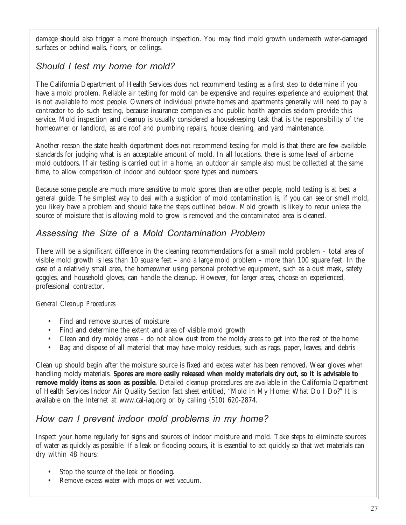damage should also trigger a more thorough inspection. You may find mold growth underneath water-damaged surfaces or behind walls, floors, or ceilings.

## *Should I test my home for mold?*

The California Department of Health Services does not recommend testing as a first step to determine if you have a mold problem. Reliable air testing for mold can be expensive and requires experience and equipment that is not available to most people. Owners of individual private homes and apartments generally will need to pay a contractor to do such testing, because insurance companies and public health agencies seldom provide this service. Mold inspection and cleanup is usually considered a housekeeping task that is the responsibility of the homeowner or landlord, as are roof and plumbing repairs, house cleaning, and yard maintenance.

Another reason the state health department does not recommend testing for mold is that there are few available standards for judging what is an acceptable amount of mold. In all locations, there is some level of airborne mold outdoors. If air testing is carried out in a home, an outdoor air sample also must be collected at the same time, to allow comparison of indoor and outdoor spore types and numbers.

Because some people are much more sensitive to mold spores than are other people, mold testing is at best a general guide. The simplest way to deal with a suspicion of mold contamination is, if you can see or smell mold, you likely have a problem and should take the steps outlined below. Mold growth is likely to recur unless the source of moisture that is allowing mold to grow is removed and the contaminated area is cleaned.

## *Assessing the Size of a Mold Contamination Problem*

There will be a significant difference in the cleaning recommendations for a small mold problem – total area of visible mold growth is less than 10 square feet – and a large mold problem – more than 100 square feet. In the case of a relatively small area, the homeowner using personal protective equipment, such as a dust mask, safety goggles, and household gloves, can handle the cleanup. However, for larger areas, choose an experienced, professional contractor.

#### *General Cleanup Procedures*

- Find and remove sources of moisture
- Find and determine the extent and area of visible mold growth
- Clean and dry moldy areas do not allow dust from the moldy areas to get into the rest of the home
- Bag and dispose of all material that may have moldy residues, such as rags, paper, leaves, and debris

Clean up should begin after the moisture source is fixed and excess water has been removed. Wear gloves when handling moldy materials. **Spores are more easily released when moldy materials dry out, so it is advisable to remove moldy items as soon as possible.** Detailed cleanup procedures are available in the California Department of Health Services Indoor Air Quality Section fact sheet entitled, "Mold in My Home: What Do I Do?" It is available on the Internet at www.cal-iaq.org or by calling (510) 620-2874.

## *How can I prevent indoor mold problems in my home?*

Inspect your home regularly for signs and sources of indoor moisture and mold. Take steps to eliminate sources of water as quickly as possible. If a leak or flooding occurs, it is essential to act quickly so that wet materials can dry within 48 hours:

- Stop the source of the leak or flooding.
- Remove excess water with mops or wet vacuum.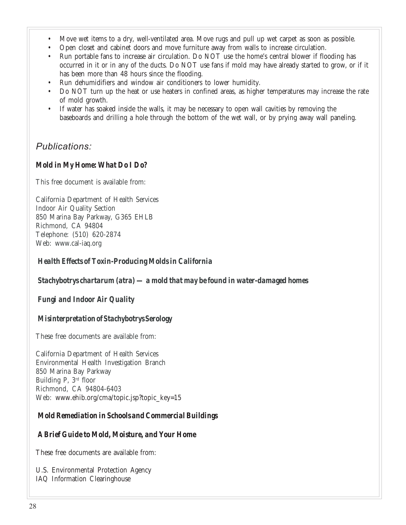- Move wet items to a dry, well-ventilated area. Move rugs and pull up wet carpet as soon as possible.
- Open closet and cabinet doors and move furniture away from walls to increase circulation.
- Run portable fans to increase air circulation. Do NOT use the home's central blower if flooding has occurred in it or in any of the ducts. Do NOT use fans if mold may have already started to grow, or if it has been more than 48 hours since the flooding.
- Run dehumidifiers and window air conditioners to lower humidity.
- Do NOT turn up the heat or use heaters in confined areas, as higher temperatures may increase the rate of mold growth.
- If water has soaked inside the walls, it may be necessary to open wall cavities by removing the baseboards and drilling a hole through the bottom of the wet wall, or by prying away wall paneling.

## *Publications:*

#### *Mold in My Home: What Do I Do?*

This free document is available from:

California Department of Health Services Indoor Air Quality Section 850 Marina Bay Parkway, G365 EHLB Richmond, CA 94804 Telephone: (510) 620-2874 Web: www.cal-iaq.org

#### *Health Effects of Toxin-Producing Molds in California*

*Stachybotrys chartarum (atra) — a mold that may be found in water-damaged homes*

*Fungi and Indoor Air Quality*

#### *Misinterpretation of Stachybotrys Serology*

These free documents are available from:

California Department of Health Services Environmental Health Investigation Branch 850 Marina Bay Parkway Building P, 3rd floor Richmond, CA 94804-6403 Web: www.ehib.org/cma/topic.jsp?topic\_key=15

#### *Mold Remediation in Schools and Commercial Buildings*

#### *A Brief Guide to Mold, Moisture, and Your Home*

These free documents are available from:

U.S. Environmental Protection Agency IAQ Information Clearinghouse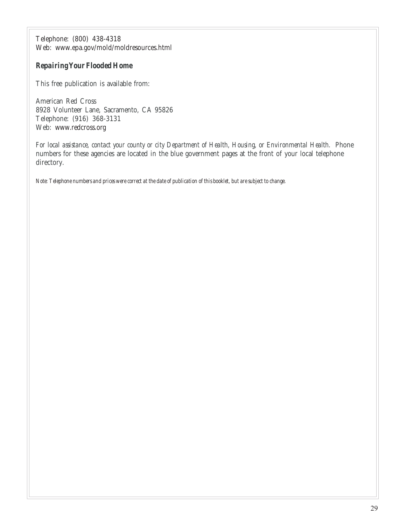Telephone: (800) 438-4318 Web: www.epa.gov/mold/moldresources.html

#### *Repairing Your Flooded Home*

This free publication is available from:

American Red Cross 8928 Volunteer Lane, Sacramento, CA 95826 Telephone: (916) 368-3131 Web: www.redcross.org

*For local assistance, contact your county or city Department of Health, Housing, or Environmental Health.* Phone numbers for these agencies are located in the blue government pages at the front of your local telephone directory.

*Note: Telephone numbers and prices were correct at the date of publication of this booklet, but are subject to change.*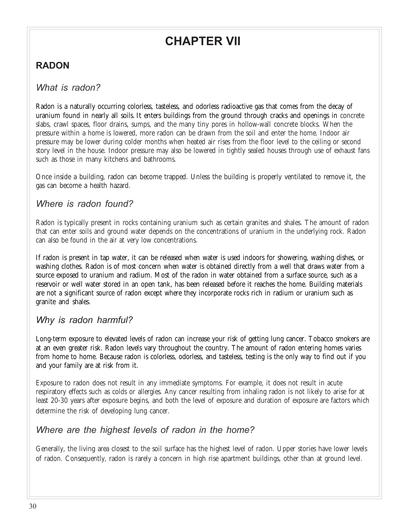# **CHAPTER VII**

# **RADON**

## *What is radon?*

Radon is a naturally occurring colorless, tasteless, and odorless radioactive gas that comes from the decay of uranium found in nearly all soils. It enters buildings from the ground through cracks and openings in concrete slabs, crawl spaces, floor drains, sumps, and the many tiny pores in hollow-wall concrete blocks. When the pressure within a home is lowered, more radon can be drawn from the soil and enter the home. Indoor air pressure may be lower during colder months when heated air rises from the floor level to the ceiling or second story level in the house. Indoor pressure may also be lowered in tightly sealed houses through use of exhaust fans such as those in many kitchens and bathrooms.

Once inside a building, radon can become trapped. Unless the building is properly ventilated to remove it, the gas can become a health hazard.

## *Where is radon found?*

Radon is typically present in rocks containing uranium such as certain granites and shales. The amount of radon that can enter soils and ground water depends on the concentrations of uranium in the underlying rock. Radon can also be found in the air at very low concentrations.

If radon is present in tap water, it can be released when water is used indoors for showering, washing dishes, or washing clothes. Radon is of most concern when water is obtained directly from a well that draws water from a source exposed to uranium and radium. Most of the radon in water obtained from a surface source, such as a reservoir or well water stored in an open tank, has been released before it reaches the home. Building materials are not a significant source of radon except where they incorporate rocks rich in radium or uranium such as granite and shales.

## *Why is radon harmful?*

Long-term exposure to elevated levels of radon can increase your risk of getting lung cancer. Tobacco smokers are at an even greater risk. Radon levels vary throughout the country. The amount of radon entering homes varies from home to home. Because radon is colorless, odorless, and tasteless, testing is the only way to find out if you and your family are at risk from it.

Exposure to radon does not result in any immediate symptoms. For example, it does not result in acute respiratory effects such as colds or allergies. Any cancer resulting from inhaling radon is not likely to arise for at least 20-30 years after exposure begins, and both the level of exposure and duration of exposure are factors which determine the risk of developing lung cancer.

## *Where are the highest levels of radon in the home?*

Generally, the living area closest to the soil surface has the highest level of radon. Upper stories have lower levels of radon. Consequently, radon is rarely a concern in high rise apartment buildings, other than at ground level.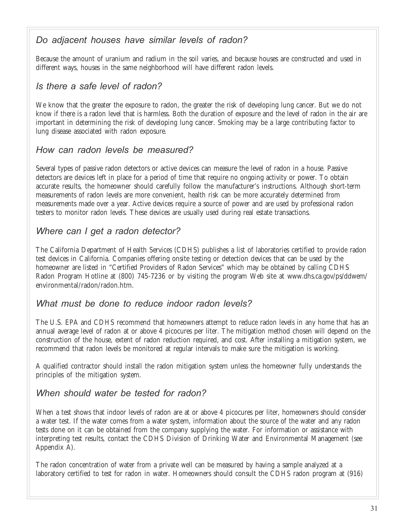## *Do adjacent houses have similar levels of radon?*

Because the amount of uranium and radium in the soil varies, and because houses are constructed and used in different ways, houses in the same neighborhood will have different radon levels.

## *Is there a safe level of radon?*

We know that the greater the exposure to radon, the greater the risk of developing lung cancer. But we do not know if there is a radon level that is harmless. Both the duration of exposure and the level of radon in the air are important in determining the risk of developing lung cancer. Smoking may be a large contributing factor to lung disease associated with radon exposure.

## *How can radon levels be measured?*

Several types of passive radon detectors or active devices can measure the level of radon in a house. Passive detectors are devices left in place for a period of time that require no ongoing activity or power. To obtain accurate results, the homeowner should carefully follow the manufacturer's instructions. Although short-term measurements of radon levels are more convenient, health risk can be more accurately determined from measurements made over a year. Active devices require a source of power and are used by professional radon testers to monitor radon levels. These devices are usually used during real estate transactions.

## *Where can I get a radon detector?*

The California Department of Health Services (CDHS) publishes a list of laboratories certified to provide radon test devices in California. Companies offering onsite testing or detection devices that can be used by the homeowner are listed in "Certified Providers of Radon Services" which may be obtained by calling CDHS Radon Program Hotline at (800) 745-7236 or by visiting the program Web site at www.dhs.ca.gov/ps/ddwem/ environmental/radon/radon.htm.

## *What must be done to reduce indoor radon levels?*

The U.S. EPA and CDHS recommend that homeowners attempt to reduce radon levels in any home that has an annual average level of radon at or above 4 picocures per liter. The mitigation method chosen will depend on the construction of the house, extent of radon reduction required, and cost. After installing a mitigation system, we recommend that radon levels be monitored at regular intervals to make sure the mitigation is working.

A qualified contractor should install the radon mitigation system unless the homeowner fully understands the principles of the mitigation system.

### *When should water be tested for radon?*

When a test shows that indoor levels of radon are at or above 4 picocures per liter, homeowners should consider a water test. If the water comes from a water system, information about the source of the water and any radon tests done on it can be obtained from the company supplying the water. For information or assistance with interpreting test results, contact the CDHS Division of Drinking Water and Environmental Management (see Appendix A).

The radon concentration of water from a private well can be measured by having a sample analyzed at a laboratory certified to test for radon in water. Homeowners should consult the CDHS radon program at (916)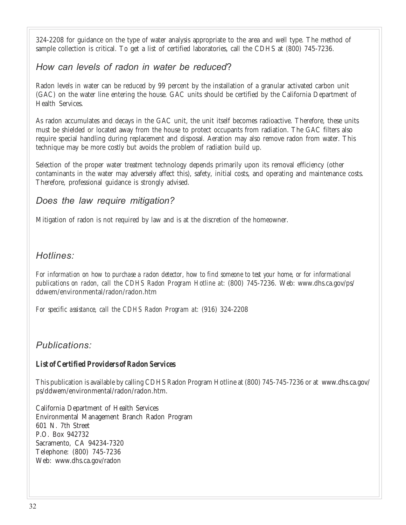324-2208 for guidance on the type of water analysis appropriate to the area and well type. The method of sample collection is critical. To get a list of certified laboratories, call the CDHS at (800) 745-7236.

## *How can levels of radon in water be reduced*?

Radon levels in water can be reduced by 99 percent by the installation of a granular activated carbon unit (GAC) on the water line entering the house. GAC units should be certified by the California Department of Health Services.

As radon accumulates and decays in the GAC unit, the unit itself becomes radioactive. Therefore, these units must be shielded or located away from the house to protect occupants from radiation. The GAC filters also require special handling during replacement and disposal. Aeration may also remove radon from water. This technique may be more costly but avoids the problem of radiation build up.

Selection of the proper water treatment technology depends primarily upon its removal efficiency (other contaminants in the water may adversely affect this), safety, initial costs, and operating and maintenance costs. Therefore, professional guidance is strongly advised.

## *Does the law require mitigation?*

Mitigation of radon is not required by law and is at the discretion of the homeowner.

## *Hotlines:*

*For information on how to purchase a radon detector, how to find someone to test your home, or for informational publications on radon, call the CDHS Radon Program Hotline at:* (800) 745-7236. Web: www.dhs.ca.gov/ps/ ddwem/environmental/radon/radon.htm

*For specific assistance, call the CDHS Radon Program at:* (916) 324-2208

### *Publications:*

#### *List of Certified Providers of Radon Services*

This publication is available by calling CDHS Radon Program Hotline at (800) 745-745-7236 or at www.dhs.ca.gov/ ps/ddwem/environmental/radon/radon.htm.

California Department of Health Services Environmental Management Branch Radon Program 601 N. 7th Street P.O. Box 942732 Sacramento, CA 94234-7320 Telephone: (800) 745-7236 Web: www.dhs.ca.gov/radon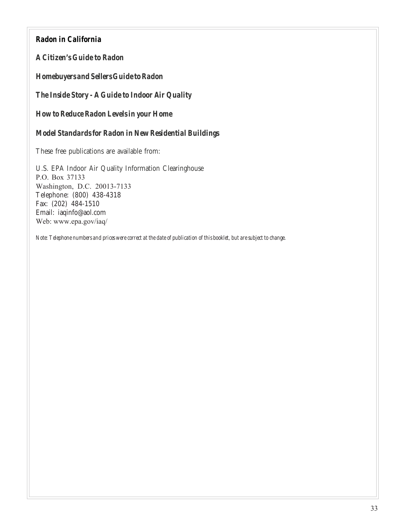#### *Radon in California*

*A Citizen's Guide to Radon*

*Homebuyers and Sellers Guide to Radon*

*The Inside Story - A Guide to Indoor Air Quality*

*How to Reduce Radon Levels in your Home*

*Model Standards for Radon in New Residential Buildings*

These free publications are available from:

U.S. EPA Indoor Air Quality Information Clearinghouse P.O. Box 37133 Washington, D.C. 20013-7133 Telephone: (800) 438-4318 Fax: (202) 484-1510 Email: iaqinfo@aol.com Web: www.epa.gov/iaq/

*Note: Telephone numbers and prices were correct at the date of publication of this booklet, but are subject to change.*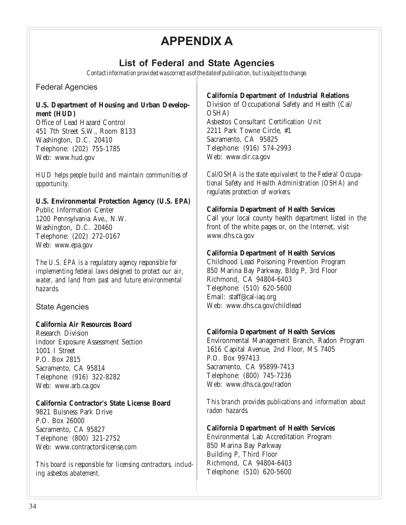# **APPENDIX A**

## **List of Federal and State Agencies**

*Contact information provided was correct as of the date of publication, but is subject to change.*

Federal Agencies

#### **U.S. Department of Housing and Urban Development (HUD)**

Office of Lead Hazard Control 451 7th Street S.W., Room B133 Washington, D.C. 20410 Telephone: (202) 755-1785 Web: www.hud.gov

*HUD helps people build and maintain communities of opportunity.*

#### **U.S. Environmental Protection Agency (U.S. EPA)**

Public Information Center 1200 Pennsylvania Ave., N.W. Washington, D.C. 20460 Telephone: (202) 272-0167 Web: www.epa.gov

*The U.S. EPA is a regulatory agency responsible for implementing federal laws designed to protect our air, water, and land from past and future environmental hazards.*

State Agencies

#### **California Air Resources Board**

Research Division Indoor Exposure Assessment Section 1001 I Street P.O. Box 2815 Sacramento, CA 95814 Telephone: (916) 322-8282 Web: www.arb.ca.gov

#### **California Contractor's State License Board**

9821 Buisness Park Drive P.O. Box 26000 Sacramento, CA 95827 Telephone: (800) 321-2752 Web: www.contractorslicense.com

*This board is responsible for licensing contractors, including asbestos abatement.*

#### **California Department of Industrial Relations**

Division of Occupational Safety and Health (Cal/ OSHA) Asbestos Consultant Certification Unit 2211 Park Towne Circle, #1 Sacramento, CA 95825 Telephone: (916) 574-2993 Web: www.dir.ca.gov

*Cal/OSHA is the state equivalent to the Federal Occupational Safety and Health Administration (OSHA) and regulates protection of workers.*

#### **California Department of Health Services**

Call your local county health department listed in the front of the white pages or, on the Internet, visit www.dhs.ca.gov

#### **California Department of Health Services**

Childhood Lead Poisoning Prevention Program 850 Marina Bay Parkway, Bldg P, 3rd Floor Richmond, CA 94804-6403 Telephone: (510) 620-5600 Email: staff@cal-iaq.org Web: www.dhs.ca.gov/childlead

#### **California Department of Health Services**

Environmental Management Branch, Radon Program 1616 Capital Avenue, 2nd Floor, MS 7405 P.O. Box 997413 Sacramento, CA 95899-7413 Telephone: (800) 745-7236 Web: www.dhs.ca.gov/radon

*This branch provides publications and information about radon hazards.*

#### **California Department of Health Services**

Environmental Lab Accreditation Program 850 Marina Bay Parkway Building P, Third Floor Richmond, CA 94804-6403 Telephone: (510) 620-5600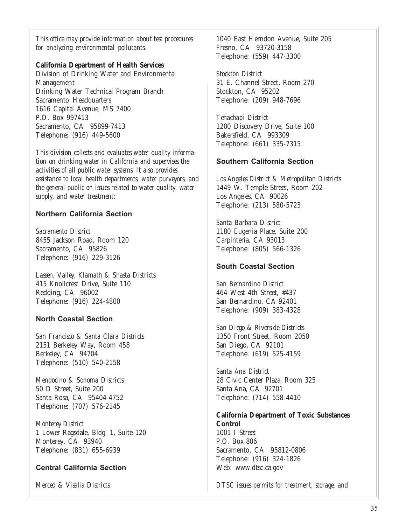*This office may provide information about test procedures for analyzing environmental pollutants.*

#### **California Department of Health Services**

Division of Drinking Water and Environmental Management Drinking Water Technical Program Branch Sacramento Headquarters 1616 Capital Avenue, MS 7400 P.O. Box 997413 Sacramento, CA 95899-7413 Telephone: (916) 449-5600

*This division collects and evaluates water quality information on drinking water in California and supervises the activities of all public water systems. It also provides assistance to local health departments, water purveyors, and the general public on issues related to water quality, water supply, and water treatment:*

#### **Northern California Section**

*Sacramento District* 8455 Jackson Road, Room 120 Sacramento, CA 95826 Telephone: (916) 229-3126

*Lassen, Valley, Klamath & Shasta Districts* 415 Knollcrest Drive, Suite 110 Redding, CA 96002 Telephone: (916) 224-4800

#### **North Coastal Section**

*San Francisco & Santa Clara Districts* 2151 Berkeley Way, Room 458 Berkeley, CA 94704 Telephone: (510) 540-2158

*Mendocino & Sonoma Districts* 50 D Street, Suite 200 Santa Rosa, CA 95404-4752 Telephone: (707) 576-2145

*Monterey District* 1 Lower Ragsdale, Bldg. 1, Suite 120 Monterey, CA 93940 Telephone: (831) 655-6939

#### **Central California Section**

*Merced & Visalia Districts*

1040 East Herndon Avenue, Suite 205 Fresno, CA 93720-3158 Telephone: (559) 447-3300

*Stockton District* 31 E. Channel Street, Room 270 Stockton, CA 95202 Telephone: (209) 948-7696

*Tehachapi District* 1200 Discovery Drive, Suite 100 Bakersfield, CA 993309 Telephone: (661) 335-7315

#### **Southern California Section**

*Los Angeles District & Metropolitan Districts* 1449 W. Temple Street, Room 202 Los Angeles, CA 90026 Telephone: (213) 580-5723

*Santa Barbara District* 1180 Eugenia Place, Suite 200 Carpinteria, CA 93013 Telephone: (805) 566-1326

#### **South Coastal Section**

*San Bernardino District* 464 West 4th Street, #437 San Bernardino, CA 92401 Telephone: (909) 383-4328

*San Diego & Riverside Districts* 1350 Front Street, Room 2050 San Diego, CA 92101 Telephone: (619) 525-4159

*Santa Ana District* 28 Civic Center Plaza, Room 325 Santa Ana, CA 92701 Telephone: (714) 558-4410

**California Department of Toxic Substances Control** 1001 I Street P.O. Box 806 Sacramento, CA 95812-0806 Telephone: (916) 324-1826 Web: www.dtsc.ca.gov

*DTSC issues permits for treatment, storage, and*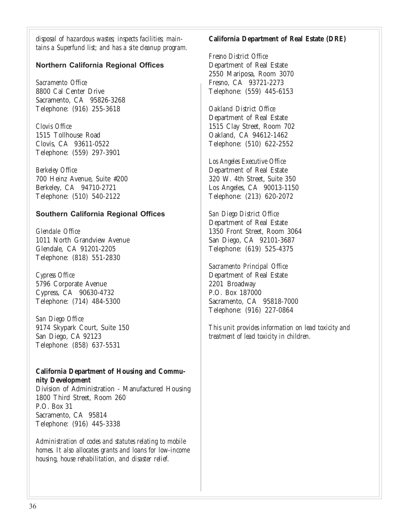*disposal of hazardous wastes; inspects facilities; maintains a Superfund list; and has a site cleanup program.*

#### **Northern California Regional Offices**

*Sacramento Office* 8800 Cal Center Drive Sacramento, CA 95826-3268 Telephone: (916) 255-3618

*Clovis Office* 1515 Tollhouse Road Clovis, CA 93611-0522 Telephone: (559) 297-3901

*Berkeley Office* 700 Heinz Avenue, Suite #200 Berkeley, CA 94710-2721 Telephone: (510) 540-2122

#### **Southern California Regional Offices**

*Glendale Office* 1011 North Grandview Avenue Glendale, CA 91201-2205 Telephone: (818) 551-2830

*Cypress Office* 5796 Corporate Avenue Cypress, CA 90630-4732 Telephone: (714) 484-5300

*San Diego Office* 9174 Skypark Court, Suite 150 San Diego, CA 92123 Telephone: (858) 637-5531

#### **California Department of Housing and Community Development**

Division of Administration - Manufactured Housing 1800 Third Street, Room 260 P.O. Box 31 Sacramento, CA 95814 Telephone: (916) 445-3338

*Administration of codes and statutes relating to mobile homes. It also allocates grants and loans for low-income housing, house rehabilitation, and disaster relief.*

#### **California Department of Real Estate (DRE)**

*Fresno District Office* Department of Real Estate 2550 Mariposa, Room 3070 Fresno, CA 93721-2273 Telephone: (559) 445-6153

*Oakland District Office* Department of Real Estate 1515 Clay Street, Room 702 Oakland, CA 94612-1462 Telephone: (510) 622-2552

*Los Angeles Executive Office* Department of Real Estate 320 W. 4th Street, Suite 350 Los Angeles, CA 90013-1150 Telephone: (213) 620-2072

*San Diego District Office* Department of Real Estate 1350 Front Street, Room 3064 San Diego, CA 92101-3687 Telephone: (619) 525-4375

*Sacramento Principal Office* Department of Real Estate 2201 Broadway P.O. Box 187000 Sacramento, CA 95818-7000 Telephone: (916) 227-0864

*This unit provides information on lead toxicity and treatment of lead toxicity in children.*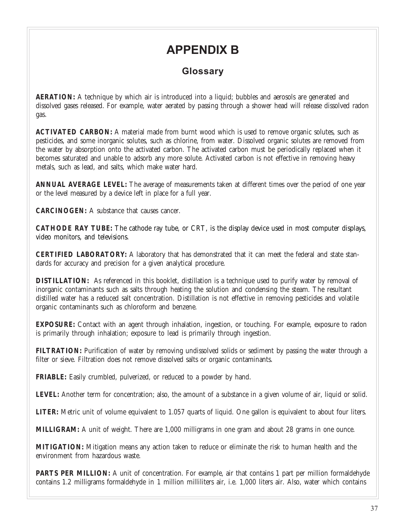# **APPENDIX B**

## **Glossary**

**AERATION:** A technique by which air is introduced into a liquid; bubbles and aerosols are generated and dissolved gases released. For example, water aerated by passing through a shower head will release dissolved radon gas.

**ACTIVATED CARBON:** A material made from burnt wood which is used to remove organic solutes, such as pesticides, and some inorganic solutes, such as chlorine, from water. Dissolved organic solutes are removed from the water by absorption onto the activated carbon. The activated carbon must be periodically replaced when it becomes saturated and unable to adsorb any more solute. Activated carbon is not effective in removing heavy metals, such as lead, and salts, which make water hard.

**ANNUAL AVERAGE LEVEL:** The average of measurements taken at different times over the period of one year or the level measured by a device left in place for a full year.

**CARCINOGEN:** A substance that causes cancer.

**CATHODE RAY TUBE:** The cathode ray tube, or CRT, is the display device used in most computer displays, video monitors, and televisions.

**CERTIFIED LABORATORY:** A laboratory that has demonstrated that it can meet the federal and state standards for accuracy and precision for a given analytical procedure.

**DISTILLATION:** As referenced in this booklet, distillation is a technique used to purify water by removal of inorganic contaminants such as salts through heating the solution and condensing the steam. The resultant distilled water has a reduced salt concentration. Distillation is not effective in removing pesticides and volatile organic contaminants such as chloroform and benzene.

**EXPOSURE:** Contact with an agent through inhalation, ingestion, or touching. For example, exposure to radon is primarily through inhalation; exposure to lead is primarily through ingestion.

**FILTRATION:** Purification of water by removing undissolved solids or sediment by passing the water through a filter or sieve. Filtration does not remove dissolved salts or organic contaminants.

**FRIABLE:** Easily crumbled, pulverized, or reduced to a powder by hand.

**LEVEL:** Another term for concentration; also, the amount of a substance in a given volume of air, liquid or solid.

**LITER:** Metric unit of volume equivalent to 1.057 quarts of liquid. One gallon is equivalent to about four liters.

**MILLIGRAM:** A unit of weight. There are 1,000 milligrams in one gram and about 28 grams in one ounce.

**MITIGATION:** Mitigation means any action taken to reduce or eliminate the risk to human health and the environment from hazardous waste.

**PARTS PER MILLION:** A unit of concentration. For example, air that contains 1 part per million formaldehyde contains 1.2 milligrams formaldehyde in 1 million milliliters air, i.e. 1,000 liters air. Also, water which contains